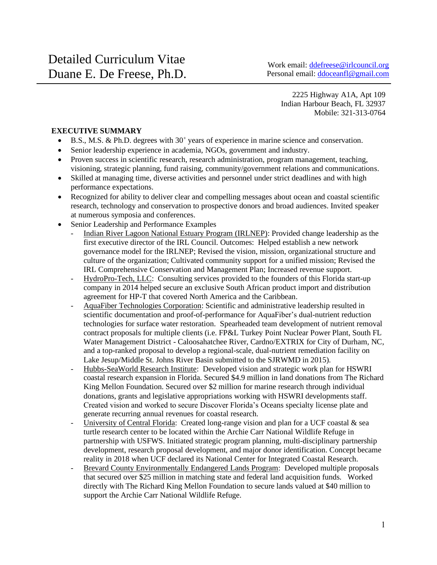2225 Highway A1A, Apt 109 Indian Harbour Beach, FL 32937 Mobile: 321-313-0764

# **EXECUTIVE SUMMARY**

- $\bullet$  B.S., M.S. & Ph.D. degrees with  $30^+$  years of experience in marine science and conservation.
- Senior leadership experience in academia, NGOs, government and industry.
- Proven success in scientific research, research administration, program management, teaching, visioning, strategic planning, fund raising, community/government relations and communications.
- Skilled at managing time, diverse activities and personnel under strict deadlines and with high performance expectations.
- Recognized for ability to deliver clear and compelling messages about ocean and coastal scientific research, technology and conservation to prospective donors and broad audiences. Invited speaker at numerous symposia and conferences.
- Senior Leadership and Performance Examples
	- Indian River Lagoon National Estuary Program (IRLNEP): Provided change leadership as the first executive director of the IRL Council. Outcomes: Helped establish a new network governance model for the IRLNEP; Revised the vision, mission, organizational structure and culture of the organization; Cultivated community support for a unified mission; Revised the IRL Comprehensive Conservation and Management Plan; Increased revenue support.
	- HydroPro-Tech, LLC: Consulting services provided to the founders of this Florida start-up company in 2014 helped secure an exclusive South African product import and distribution agreement for HP-T that covered North America and the Caribbean.
	- AquaFiber Technologies Corporation: Scientific and administrative leadership resulted in scientific documentation and proof-of-performance for AquaFiber's dual-nutrient reduction technologies for surface water restoration. Spearheaded team development of nutrient removal contract proposals for multiple clients (i.e. FP&L Turkey Point Nuclear Power Plant, South FL Water Management District - Caloosahatchee River, Cardno/EXTRIX for City of Durham, NC, and a top-ranked proposal to develop a regional-scale, dual-nutrient remediation facility on Lake Jesup/Middle St. Johns River Basin submitted to the SJRWMD in 2015).
	- Hubbs-SeaWorld Research Institute: Developed vision and strategic work plan for HSWRI coastal research expansion in Florida. Secured \$4.9 million in land donations from The Richard King Mellon Foundation. Secured over \$2 million for marine research through individual donations, grants and legislative appropriations working with HSWRI developments staff. Created vision and worked to secure Discover Florida's Oceans specialty license plate and generate recurring annual revenues for coastal research.
	- University of Central Florida: Created long-range vision and plan for a UCF coastal  $\&$  sea turtle research center to be located within the Archie Carr National Wildlife Refuge in partnership with USFWS. Initiated strategic program planning, multi-disciplinary partnership development, research proposal development, and major donor identification. Concept became reality in 2018 when UCF declared its National Center for Integrated Coastal Research.
	- Brevard County Environmentally Endangered Lands Program: Developed multiple proposals that secured over \$25 million in matching state and federal land acquisition funds. Worked directly with The Richard King Mellon Foundation to secure lands valued at \$40 million to support the Archie Carr National Wildlife Refuge.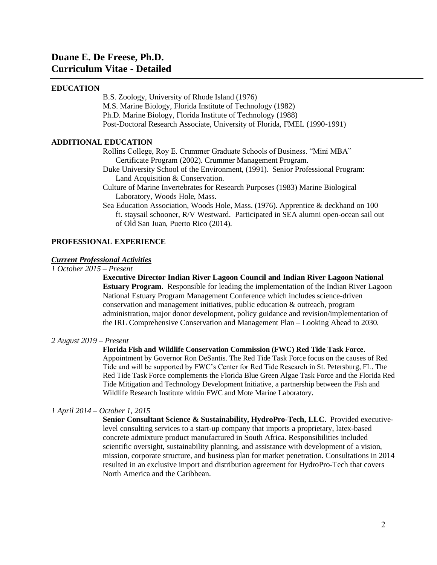# **Duane E. De Freese, Ph.D. Curriculum Vitae - Detailed**

### **EDUCATION**

B.S. Zoology, University of Rhode Island (1976) M.S. Marine Biology, Florida Institute of Technology (1982) Ph.D. Marine Biology, Florida Institute of Technology (1988) Post-Doctoral Research Associate, University of Florida, FMEL (1990-1991)

# **ADDITIONAL EDUCATION**

Rollins College, Roy E. Crummer Graduate Schools of Business. "Mini MBA" Certificate Program (2002). Crummer Management Program.

- Duke University School of the Environment, (1991). Senior Professional Program: Land Acquisition & Conservation.
- Culture of Marine Invertebrates for Research Purposes (1983) Marine Biological Laboratory, Woods Hole, Mass.
- Sea Education Association, Woods Hole, Mass. (1976). Apprentice & deckhand on 100 ft. staysail schooner, R/V Westward. Participated in SEA alumni open-ocean sail out of Old San Juan, Puerto Rico (2014).

### **PROFESSIONAL EXPERIENCE**

### *Current Professional Activities*

*1 October 2015 – Present*

**Executive Director Indian River Lagoon Council and Indian River Lagoon National Estuary Program.** Responsible for leading the implementation of the Indian River Lagoon National Estuary Program Management Conference which includes science-driven conservation and management initiatives, public education & outreach, program administration, major donor development, policy guidance and revision/implementation of the IRL Comprehensive Conservation and Management Plan – Looking Ahead to 2030.

#### *2 August 2019 – Present*

**Florida Fish and Wildlife Conservation Commission (FWC) Red Tide Task Force.**  Appointment by Governor Ron DeSantis. The Red Tide Task Force focus on the causes of Red Tide and will be supported by FWC's Center for Red Tide Research in St. Petersburg, FL. The Red Tide Task Force complements the Florida Blue Green Algae Task Force and the Florida Red Tide Mitigation and Technology Development Initiative, a partnership between the Fish and Wildlife Research Institute within FWC and Mote Marine Laboratory.

### *1 April 2014 – October 1, 2015*

**Senior Consultant Science & Sustainability, HydroPro-Tech, LLC**. Provided executivelevel consulting services to a start-up company that imports a proprietary, latex-based concrete admixture product manufactured in South Africa. Responsibilities included scientific oversight, sustainability planning, and assistance with development of a vision, mission, corporate structure, and business plan for market penetration. Consultations in 2014 resulted in an exclusive import and distribution agreement for HydroPro-Tech that covers North America and the Caribbean.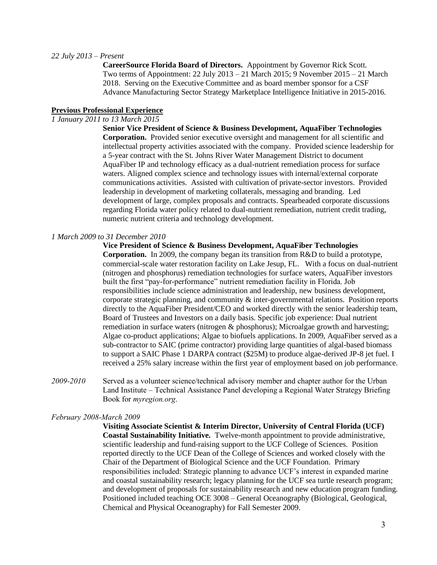#### *22 July 2013 – Present*

**CareerSource Florida Board of Directors.** Appointment by Governor Rick Scott. Two terms of Appointment: 22 July 2013 – 21 March 2015; 9 November 2015 – 21 March 2018. Serving on the Executive Committee and as board member sponsor for a CSF Advance Manufacturing Sector Strategy Marketplace Intelligence Initiative in 2015-2016.

### **Previous Professional Experience**

# *1 January 2011 to 13 March 2015*

**Senior Vice President of Science & Business Development, AquaFiber Technologies Corporation.** Provided senior executive oversight and management for all scientific and intellectual property activities associated with the company. Provided science leadership for a 5-year contract with the St. Johns River Water Management District to document AquaFiber IP and technology efficacy as a dual-nutrient remediation process for surface waters. Aligned complex science and technology issues with internal/external corporate communications activities. Assisted with cultivation of private-sector investors. Provided leadership in development of marketing collaterals, messaging and branding. Led development of large, complex proposals and contracts. Spearheaded corporate discussions regarding Florida water policy related to dual-nutrient remediation, nutrient credit trading, numeric nutrient criteria and technology development.

#### *1 March 2009 to 31 December 2010*

### **Vice President of Science & Business Development, AquaFiber Technologies**

**Corporation.** In 2009, the company began its transition from R&D to build a prototype, commercial-scale water restoration facility on Lake Jesup, FL. With a focus on dual-nutrient (nitrogen and phosphorus) remediation technologies for surface waters, AquaFiber investors built the first "pay-for-performance" nutrient remediation facility in Florida. Job responsibilities include science administration and leadership, new business development, corporate strategic planning, and community & inter-governmental relations. Position reports directly to the AquaFiber President/CEO and worked directly with the senior leadership team, Board of Trustees and Investors on a daily basis. Specific job experience: Dual nutrient remediation in surface waters (nitrogen & phosphorus); Microalgae growth and harvesting; Algae co-product applications; Algae to biofuels applications. In 2009, AquaFiber served as a sub-contractor to SAIC (prime contractor) providing large quantities of algal-based biomass to support a SAIC Phase 1 DARPA contract (\$25M) to produce algae-derived JP-8 jet fuel. I received a 25% salary increase within the first year of employment based on job performance.

*2009-2010* Served as a volunteer science/technical advisory member and chapter author for the Urban Land Institute – Technical Assistance Panel developing a Regional Water Strategy Briefing Book for *myregion.org*.

#### *February 2008-March 2009*

**Visiting Associate Scientist & Interim Director, University of Central Florida (UCF) Coastal Sustainability Initiative.** Twelve-month appointment to provide administrative, scientific leadership and fund-raising support to the UCF College of Sciences. Position reported directly to the UCF Dean of the College of Sciences and worked closely with the Chair of the Department of Biological Science and the UCF Foundation. Primary responsibilities included: Strategic planning to advance UCF's interest in expanded marine and coastal sustainability research; legacy planning for the UCF sea turtle research program; and development of proposals for sustainability research and new education program funding. Positioned included teaching OCE 3008 – General Oceanography (Biological, Geological, Chemical and Physical Oceanography) for Fall Semester 2009.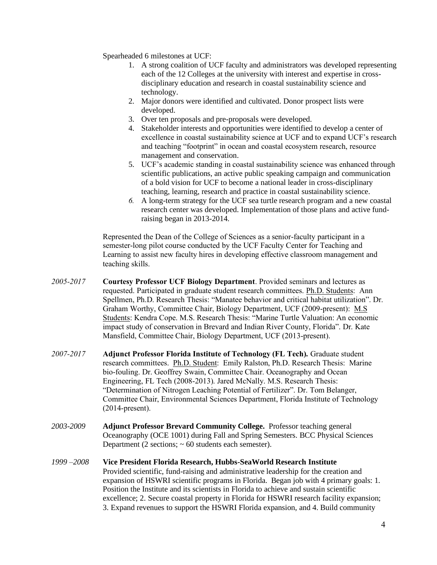Spearheaded 6 milestones at UCF:

- 1. A strong coalition of UCF faculty and administrators was developed representing each of the 12 Colleges at the university with interest and expertise in crossdisciplinary education and research in coastal sustainability science and technology.
- 2. Major donors were identified and cultivated. Donor prospect lists were developed.
- 3. Over ten proposals and pre-proposals were developed.
- 4. Stakeholder interests and opportunities were identified to develop a center of excellence in coastal sustainability science at UCF and to expand UCF's research and teaching "footprint" in ocean and coastal ecosystem research, resource management and conservation.
- 5. UCF's academic standing in coastal sustainability science was enhanced through scientific publications, an active public speaking campaign and communication of a bold vision for UCF to become a national leader in cross-disciplinary teaching, learning, research and practice in coastal sustainability science.
- *6.* A long-term strategy for the UCF sea turtle research program and a new coastal research center was developed. Implementation of those plans and active fundraising began in 2013-2014.

Represented the Dean of the College of Sciences as a senior-faculty participant in a semester-long pilot course conducted by the UCF Faculty Center for Teaching and Learning to assist new faculty hires in developing effective classroom management and teaching skills.

- *2005-2017* **Courtesy Professor UCF Biology Department**. Provided seminars and lectures as requested. Participated in graduate student research committees. Ph.D. Students: Ann Spellmen, Ph.D. Research Thesis: "Manatee behavior and critical habitat utilization". Dr. Graham Worthy, Committee Chair, Biology Department, UCF (2009-present): M.S Students: Kendra Cope. M.S. Research Thesis: "Marine Turtle Valuation: An economic impact study of conservation in Brevard and Indian River County, Florida". Dr. Kate Mansfield, Committee Chair, Biology Department, UCF (2013-present).
- *2007-2017* **Adjunct Professor Florida Institute of Technology (FL Tech).** Graduate student research committees. Ph.D. Student: Emily Ralston, Ph.D. Research Thesis: Marine bio-fouling. Dr. Geoffrey Swain, Committee Chair. Oceanography and Ocean Engineering, FL Tech (2008-2013). Jared McNally. M.S. Research Thesis: "Determination of Nitrogen Leaching Potential of Fertilizer". Dr. Tom Belanger, Committee Chair, Environmental Sciences Department, Florida Institute of Technology (2014-present).
- *2003-2009* **Adjunct Professor Brevard Community College.** Professor teaching general Oceanography (OCE 1001) during Fall and Spring Semesters. BCC Physical Sciences Department (2 sections;  $\sim 60$  students each semester).
- *1999 –2008* **Vice President Florida Research, Hubbs-SeaWorld Research Institute** Provided scientific, fund-raising and administrative leadership for the creation and expansion of HSWRI scientific programs in Florida. Began job with 4 primary goals: 1. Position the Institute and its scientists in Florida to achieve and sustain scientific excellence; 2. Secure coastal property in Florida for HSWRI research facility expansion; 3. Expand revenues to support the HSWRI Florida expansion, and 4. Build community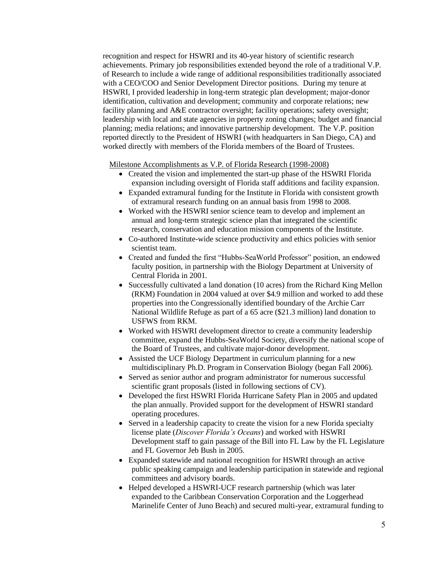recognition and respect for HSWRI and its 40-year history of scientific research achievements. Primary job responsibilities extended beyond the role of a traditional V.P. of Research to include a wide range of additional responsibilities traditionally associated with a CEO/COO and Senior Development Director positions. During my tenure at HSWRI, I provided leadership in long-term strategic plan development; major-donor identification, cultivation and development; community and corporate relations; new facility planning and A&E contractor oversight; facility operations; safety oversight; leadership with local and state agencies in property zoning changes; budget and financial planning; media relations; and innovative partnership development. The V.P. position reported directly to the President of HSWRI (with headquarters in San Diego, CA) and worked directly with members of the Florida members of the Board of Trustees.

Milestone Accomplishments as V.P. of Florida Research (1998-2008)

- Created the vision and implemented the start-up phase of the HSWRI Florida expansion including oversight of Florida staff additions and facility expansion.
- Expanded extramural funding for the Institute in Florida with consistent growth of extramural research funding on an annual basis from 1998 to 2008.
- Worked with the HSWRI senior science team to develop and implement an annual and long-term strategic science plan that integrated the scientific research, conservation and education mission components of the Institute.
- Co-authored Institute-wide science productivity and ethics policies with senior scientist team.
- Created and funded the first "Hubbs-SeaWorld Professor" position, an endowed faculty position, in partnership with the Biology Department at University of Central Florida in 2001.
- Successfully cultivated a land donation (10 acres) from the Richard King Mellon (RKM) Foundation in 2004 valued at over \$4.9 million and worked to add these properties into the Congressionally identified boundary of the Archie Carr National Wildlife Refuge as part of a 65 acre (\$21.3 million) land donation to USFWS from RKM.
- Worked with HSWRI development director to create a community leadership committee, expand the Hubbs-SeaWorld Society, diversify the national scope of the Board of Trustees, and cultivate major-donor development.
- Assisted the UCF Biology Department in curriculum planning for a new multidisciplinary Ph.D. Program in Conservation Biology (began Fall 2006).
- Served as senior author and program administrator for numerous successful scientific grant proposals (listed in following sections of CV).
- Developed the first HSWRI Florida Hurricane Safety Plan in 2005 and updated the plan annually. Provided support for the development of HSWRI standard operating procedures.
- Served in a leadership capacity to create the vision for a new Florida specialty license plate (*Discover Florida's Oceans*) and worked with HSWRI Development staff to gain passage of the Bill into FL Law by the FL Legislature and FL Governor Jeb Bush in 2005.
- Expanded statewide and national recognition for HSWRI through an active public speaking campaign and leadership participation in statewide and regional committees and advisory boards.
- Helped developed a HSWRI-UCF research partnership (which was later expanded to the Caribbean Conservation Corporation and the Loggerhead Marinelife Center of Juno Beach) and secured multi-year, extramural funding to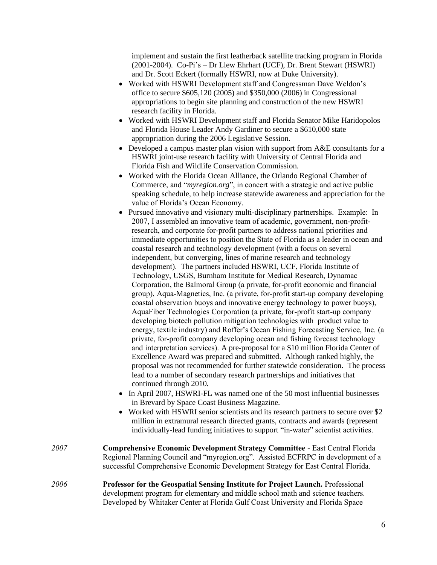implement and sustain the first leatherback satellite tracking program in Florida (2001-2004). Co-Pi's – Dr Llew Ehrhart (UCF), Dr. Brent Stewart (HSWRI) and Dr. Scott Eckert (formally HSWRI, now at Duke University).

- Worked with HSWRI Development staff and Congressman Dave Weldon's office to secure \$605,120 (2005) and \$350,000 (2006) in Congressional appropriations to begin site planning and construction of the new HSWRI research facility in Florida.
- Worked with HSWRI Development staff and Florida Senator Mike Haridopolos and Florida House Leader Andy Gardiner to secure a \$610,000 state appropriation during the 2006 Legislative Session.
- Developed a campus master plan vision with support from A&E consultants for a HSWRI joint-use research facility with University of Central Florida and Florida Fish and Wildlife Conservation Commission.
- Worked with the Florida Ocean Alliance, the Orlando Regional Chamber of Commerce, and "*myregion.org*", in concert with a strategic and active public speaking schedule, to help increase statewide awareness and appreciation for the value of Florida's Ocean Economy.
- Pursued innovative and visionary multi-disciplinary partnerships. Example: In 2007, I assembled an innovative team of academic, government, non-profitresearch, and corporate for-profit partners to address national priorities and immediate opportunities to position the State of Florida as a leader in ocean and coastal research and technology development (with a focus on several independent, but converging, lines of marine research and technology development). The partners included HSWRI, UCF, Florida Institute of Technology, USGS, Burnham Institute for Medical Research, Dynamac Corporation, the Balmoral Group (a private, for-profit economic and financial group), Aqua-Magnetics, Inc. (a private, for-profit start-up company developing coastal observation buoys and innovative energy technology to power buoys), AquaFiber Technologies Corporation (a private, for-profit start-up company developing biotech pollution mitigation technologies with product value to energy, textile industry) and Roffer's Ocean Fishing Forecasting Service, Inc. (a private, for-profit company developing ocean and fishing forecast technology and interpretation services). A pre-proposal for a \$10 million Florida Center of Excellence Award was prepared and submitted. Although ranked highly, the proposal was not recommended for further statewide consideration. The process lead to a number of secondary research partnerships and initiatives that continued through 2010.
- In April 2007, HSWRI-FL was named one of the 50 most influential businesses in Brevard by Space Coast Business Magazine.
- Worked with HSWRI senior scientists and its research partners to secure over \$2 million in extramural research directed grants, contracts and awards (represent individually-lead funding initiatives to support "in-water" scientist activities.
- *2007* **Comprehensive Economic Development Strategy Committee** East Central Florida Regional Planning Council and "myregion.org". Assisted ECFRPC in development of a successful Comprehensive Economic Development Strategy for East Central Florida.
- *2006* **Professor for the Geospatial Sensing Institute for Project Launch.** Professional development program for elementary and middle school math and science teachers. Developed by Whitaker Center at Florida Gulf Coast University and Florida Space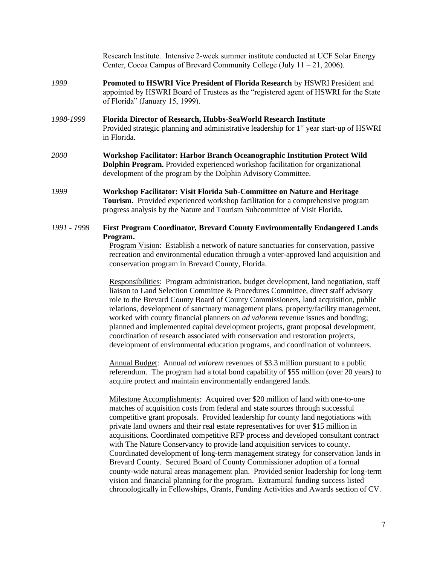|             | Research Institute. Intensive 2-week summer institute conducted at UCF Solar Energy<br>Center, Cocoa Campus of Brevard Community College (July $11 - 21$ , 2006).                                                                                |
|-------------|--------------------------------------------------------------------------------------------------------------------------------------------------------------------------------------------------------------------------------------------------|
| 1999        | Promoted to HSWRI Vice President of Florida Research by HSWRI President and<br>appointed by HSWRI Board of Trustees as the "registered agent of HSWRI for the State<br>of Florida" (January 15, 1999).                                           |
| 1998-1999   | Florida Director of Research, Hubbs-SeaWorld Research Institute<br>Provided strategic planning and administrative leadership for 1 <sup>st</sup> year start-up of HSWRI<br>in Florida.                                                           |
| <i>2000</i> | Workshop Facilitator: Harbor Branch Oceanographic Institution Protect Wild<br><b>Dolphin Program.</b> Provided experienced workshop facilitation for organizational<br>development of the program by the Dolphin Advisory Committee.             |
| 1999        | Workshop Facilitator: Visit Florida Sub-Committee on Nature and Heritage<br><b>Tourism.</b> Provided experienced workshop facilitation for a comprehensive program<br>progress analysis by the Nature and Tourism Subcommittee of Visit Florida. |
| 1991 - 1998 | <b>First Program Coordinator, Brevard County Environmentally Endangered Lands</b><br>Program.                                                                                                                                                    |

Program Vision: Establish a network of nature sanctuaries for conservation, passive recreation and environmental education through a voter-approved land acquisition and conservation program in Brevard County, Florida.

Responsibilities: Program administration, budget development, land negotiation, staff liaison to Land Selection Committee & Procedures Committee, direct staff advisory role to the Brevard County Board of County Commissioners, land acquisition, public relations, development of sanctuary management plans, property/facility management, worked with county financial planners on *ad valorem* revenue issues and bonding; planned and implemented capital development projects, grant proposal development, coordination of research associated with conservation and restoration projects, development of environmental education programs, and coordination of volunteers.

Annual Budget: Annual *ad valorem* revenues of \$3.3 million pursuant to a public referendum. The program had a total bond capability of \$55 million (over 20 years) to acquire protect and maintain environmentally endangered lands.

Milestone Accomplishments: Acquired over \$20 million of land with one-to-one matches of acquisition costs from federal and state sources through successful competitive grant proposals. Provided leadership for county land negotiations with private land owners and their real estate representatives for over \$15 million in acquisitions. Coordinated competitive RFP process and developed consultant contract with The Nature Conservancy to provide land acquisition services to county. Coordinated development of long-term management strategy for conservation lands in Brevard County. Secured Board of County Commissioner adoption of a formal county-wide natural areas management plan. Provided senior leadership for long-term vision and financial planning for the program. Extramural funding success listed chronologically in Fellowships, Grants, Funding Activities and Awards section of CV.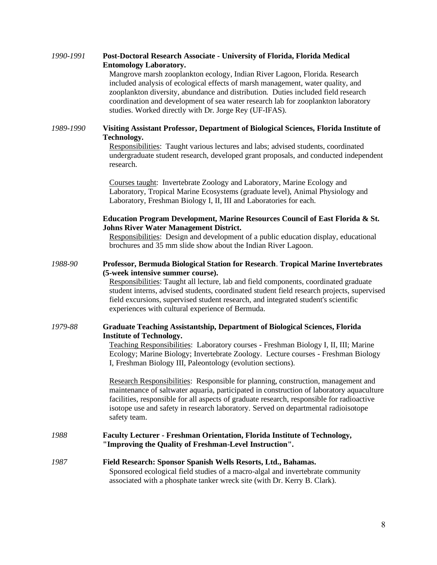| 1990-1991 | Post-Doctoral Research Associate - University of Florida, Florida Medical<br><b>Entomology Laboratory.</b><br>Mangrove marsh zooplankton ecology, Indian River Lagoon, Florida. Research<br>included analysis of ecological effects of marsh management, water quality, and<br>zooplankton diversity, abundance and distribution. Duties included field research<br>coordination and development of sea water research lab for zooplankton laboratory<br>studies. Worked directly with Dr. Jorge Rey (UF-IFAS). |
|-----------|-----------------------------------------------------------------------------------------------------------------------------------------------------------------------------------------------------------------------------------------------------------------------------------------------------------------------------------------------------------------------------------------------------------------------------------------------------------------------------------------------------------------|
| 1989-1990 | Visiting Assistant Professor, Department of Biological Sciences, Florida Institute of                                                                                                                                                                                                                                                                                                                                                                                                                           |
|           | Technology.<br>Responsibilities: Taught various lectures and labs; advised students, coordinated<br>undergraduate student research, developed grant proposals, and conducted independent<br>research.                                                                                                                                                                                                                                                                                                           |
|           | Courses taught: Invertebrate Zoology and Laboratory, Marine Ecology and<br>Laboratory, Tropical Marine Ecosystems (graduate level), Animal Physiology and<br>Laboratory, Freshman Biology I, II, III and Laboratories for each.                                                                                                                                                                                                                                                                                 |
|           | Education Program Development, Marine Resources Council of East Florida & St.<br><b>Johns River Water Management District.</b>                                                                                                                                                                                                                                                                                                                                                                                  |
|           | Responsibilities: Design and development of a public education display, educational<br>brochures and 35 mm slide show about the Indian River Lagoon.                                                                                                                                                                                                                                                                                                                                                            |
| 1988-90   | Professor, Bermuda Biological Station for Research. Tropical Marine Invertebrates<br>(5-week intensive summer course).                                                                                                                                                                                                                                                                                                                                                                                          |
|           | Responsibilities: Taught all lecture, lab and field components, coordinated graduate<br>student interns, advised students, coordinated student field research projects, supervised<br>field excursions, supervised student research, and integrated student's scientific<br>experiences with cultural experience of Bermuda.                                                                                                                                                                                    |
| 1979-88   | <b>Graduate Teaching Assistantship, Department of Biological Sciences, Florida</b>                                                                                                                                                                                                                                                                                                                                                                                                                              |
|           | <b>Institute of Technology.</b><br>Teaching Responsibilities: Laboratory courses - Freshman Biology I, II, III; Marine<br>Ecology; Marine Biology; Invertebrate Zoology. Lecture courses - Freshman Biology<br>I, Freshman Biology III, Paleontology (evolution sections).                                                                                                                                                                                                                                      |
|           | Research Responsibilities: Responsible for planning, construction, management and<br>maintenance of saltwater aquaria, participated in construction of laboratory aquaculture<br>facilities, responsible for all aspects of graduate research, responsible for radioactive<br>isotope use and safety in research laboratory. Served on departmental radioisotope<br>safety team.                                                                                                                                |
| 1988      | <b>Faculty Lecturer - Freshman Orientation, Florida Institute of Technology,</b><br>"Improving the Quality of Freshman-Level Instruction".                                                                                                                                                                                                                                                                                                                                                                      |
| 1987      | Field Research: Sponsor Spanish Wells Resorts, Ltd., Bahamas.<br>Sponsored ecological field studies of a macro-algal and invertebrate community<br>associated with a phosphate tanker wreck site (with Dr. Kerry B. Clark).                                                                                                                                                                                                                                                                                     |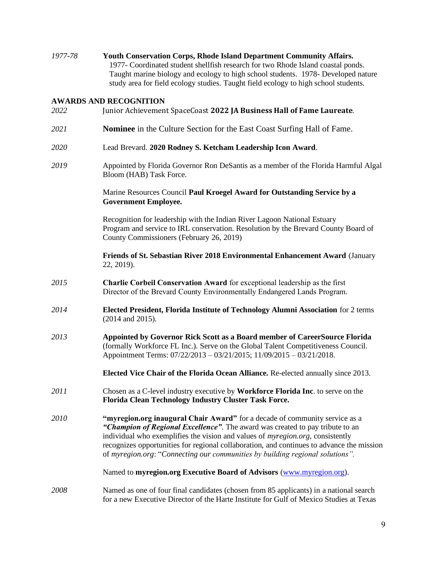*1977-78* **Youth Conservation Corps, Rhode Island Department Community Affairs.** 1977- Coordinated student shellfish research for two Rhode Island coastal ponds. Taught marine biology and ecology to high school students. 1978- Developed nature study area for field ecology studies. Taught field ecology to high school students.

### **AWARDS AND RECOGNITION**

- *2022* Junior Achievement SpaceCoast **2022 JA Business Hall of Fame Laureate***.*
- *2021* **Nominee** in the Culture Section for the East Coast Surfing Hall of Fame.
- *2020* Lead Brevard. **2020 Rodney S. Ketcham Leadership Icon Award**.
- *2019* Appointed by Florida Governor Ron DeSantis as a member of the Florida Harmful Algal Bloom (HAB) Task Force.

Marine Resources Council **Paul Kroegel Award for Outstanding Service by a Government Employee.**

Recognition for leadership with the Indian River Lagoon National Estuary Program and service to IRL conservation. Resolution by the Brevard County Board of County Commissioners (February 26, 2019)

**Friends of St. Sebastian River 2018 Environmental Enhancement Award** (January 22, 2019).

- *2015* **Charlie Corbeil Conservation Award** for exceptional leadership as the first Director of the Brevard County Environmentally Endangered Lands Program.
- *2014* **Elected President, Florida Institute of Technology Alumni Association** for 2 terms (2014 and 2015).
- *2013* **Appointed by Governor Rick Scott as a Board member of CareerSource Florida** (formally Workforce FL Inc.). Serve on the Global Talent Competitiveness Council. Appointment Terms: 07/22/2013 – 03/21/2015; 11/09/2015 – 03/21/2018.

**Elected Vice Chair of the Florida Ocean Alliance.** Re-elected annually since 2013.

- *2011* Chosen as a C-level industry executive by **Workforce Florida Inc**. to serve on the **Florida Clean Technology Industry Cluster Task Force.**
- *2010* **"myregion.org inaugural Chair Award"** for a decade of community service as a *"Champion of Regional Excellence"*. The award was created to pay tribute to an individual who exemplifies the vision and values of *myregion.org*, consistently recognizes opportunities for regional collaboration, and continues to advance the mission of *myregion.org*: "*Connecting our communities by building regional solutions".*

Named to **myregion.org Executive Board of Advisors** [\(www.myregion.org\)](http://www.myregion.org/).

*2008* Named as one of four final candidates (chosen from 85 applicants) in a national search for a new Executive Director of the Harte Institute for Gulf of Mexico Studies at Texas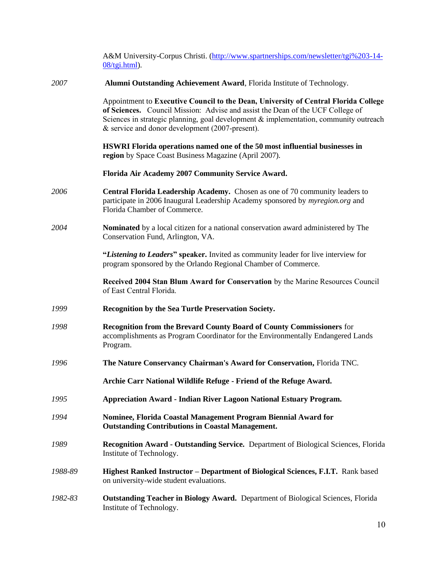|         | A&M University-Corpus Christi. (http://www.spartnerships.com/newsletter/tgi%203-14-<br>$08/\text{tgi.html}$ ).                                                                                                                                                                                                    |
|---------|-------------------------------------------------------------------------------------------------------------------------------------------------------------------------------------------------------------------------------------------------------------------------------------------------------------------|
| 2007    | Alumni Outstanding Achievement Award, Florida Institute of Technology.                                                                                                                                                                                                                                            |
|         | Appointment to Executive Council to the Dean, University of Central Florida College<br>of Sciences. Council Mission: Advise and assist the Dean of the UCF College of<br>Sciences in strategic planning, goal development & implementation, community outreach<br>& service and donor development (2007-present). |
|         | HSWRI Florida operations named one of the 50 most influential businesses in<br>region by Space Coast Business Magazine (April 2007).                                                                                                                                                                              |
|         | Florida Air Academy 2007 Community Service Award.                                                                                                                                                                                                                                                                 |
| 2006    | Central Florida Leadership Academy. Chosen as one of 70 community leaders to<br>participate in 2006 Inaugural Leadership Academy sponsored by <i>myregion.org</i> and<br>Florida Chamber of Commerce.                                                                                                             |
| 2004    | Nominated by a local citizen for a national conservation award administered by The<br>Conservation Fund, Arlington, VA.                                                                                                                                                                                           |
|         | "Listening to Leaders" speaker. Invited as community leader for live interview for<br>program sponsored by the Orlando Regional Chamber of Commerce.                                                                                                                                                              |
|         | Received 2004 Stan Blum Award for Conservation by the Marine Resources Council<br>of East Central Florida.                                                                                                                                                                                                        |
| 1999    | Recognition by the Sea Turtle Preservation Society.                                                                                                                                                                                                                                                               |
| 1998    | <b>Recognition from the Brevard County Board of County Commissioners</b> for<br>accomplishments as Program Coordinator for the Environmentally Endangered Lands<br>Program.                                                                                                                                       |
| 1996    | The Nature Conservancy Chairman's Award for Conservation, Florida TNC.                                                                                                                                                                                                                                            |
|         | Archie Carr National Wildlife Refuge - Friend of the Refuge Award.                                                                                                                                                                                                                                                |
| 1995    | <b>Appreciation Award - Indian River Lagoon National Estuary Program.</b>                                                                                                                                                                                                                                         |
| 1994    | Nominee, Florida Coastal Management Program Biennial Award for<br><b>Outstanding Contributions in Coastal Management.</b>                                                                                                                                                                                         |
| 1989    | <b>Recognition Award - Outstanding Service.</b> Department of Biological Sciences, Florida<br>Institute of Technology.                                                                                                                                                                                            |
| 1988-89 | <b>Highest Ranked Instructor – Department of Biological Sciences, F.I.T.</b> Rank based<br>on university-wide student evaluations.                                                                                                                                                                                |
| 1982-83 | <b>Outstanding Teacher in Biology Award.</b> Department of Biological Sciences, Florida<br>Institute of Technology.                                                                                                                                                                                               |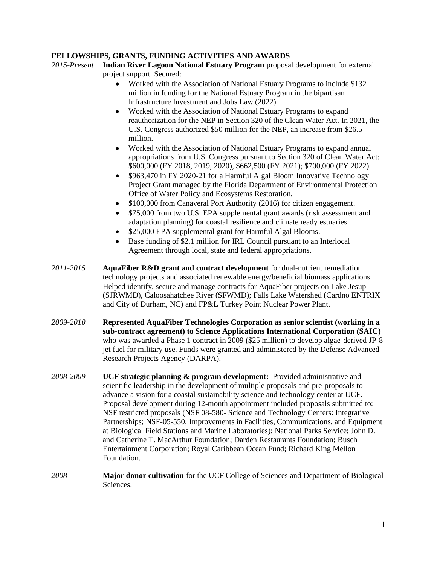# **FELLOWSHIPS, GRANTS, FUNDING ACTIVITIES AND AWARDS**

- *2015-Present* **Indian River Lagoon National Estuary Program** proposal development for external project support. Secured:
	- Worked with the Association of National Estuary Programs to include \$132 million in funding for the National Estuary Program in the bipartisan Infrastructure Investment and Jobs Law (2022).
	- Worked with the Association of National Estuary Programs to expand reauthorization for the NEP in Section 320 of the Clean Water Act. In 2021, the U.S. Congress authorized \$50 million for the NEP, an increase from \$26.5 million.
	- Worked with the Association of National Estuary Programs to expand annual appropriations from U.S, Congress pursuant to Section 320 of Clean Water Act: \$600,000 (FY 2018, 2019, 2020), \$662,500 (FY 2021); \$700,000 (FY 2022).
	- \$963,470 in FY 2020-21 for a Harmful Algal Bloom Innovative Technology Project Grant managed by the Florida Department of Environmental Protection Office of Water Policy and Ecosystems Restoration.
	- \$100,000 from Canaveral Port Authority (2016) for citizen engagement.
	- \$75,000 from two U.S. EPA supplemental grant awards (risk assessment and adaptation planning) for coastal resilience and climate ready estuaries.
	- \$25,000 EPA supplemental grant for Harmful Algal Blooms.
	- Base funding of \$2.1 million for IRL Council pursuant to an Interlocal Agreement through local, state and federal appropriations.
- *2011-2015* **AquaFiber R&D grant and contract development** for dual-nutrient remediation technology projects and associated renewable energy/beneficial biomass applications. Helped identify, secure and manage contracts for AquaFiber projects on Lake Jesup (SJRWMD), Caloosahatchee River (SFWMD); Falls Lake Watershed (Cardno ENTRIX and City of Durham, NC) and FP&L Turkey Point Nuclear Power Plant.
- *2009-2010* **Represented AquaFiber Technologies Corporation as senior scientist (working in a sub-contract agreement) to Science Applications International Corporation (SAIC)**  who was awarded a Phase 1 contract in 2009 (\$25 million) to develop algae-derived JP-8 jet fuel for military use. Funds were granted and administered by the Defense Advanced Research Projects Agency (DARPA).
- *2008-2009* **UCF strategic planning & program development:**Provided administrative and scientific leadership in the development of multiple proposals and pre-proposals to advance a vision for a coastal sustainability science and technology center at UCF. Proposal development during 12-month appointment included proposals submitted to: NSF restricted proposals (NSF 08-580- Science and Technology Centers: Integrative Partnerships; NSF-05-550, Improvements in Facilities, Communications, and Equipment at Biological Field Stations and Marine Laboratories); National Parks Service; John D. and Catherine T. MacArthur Foundation; Darden Restaurants Foundation; Busch Entertainment Corporation; Royal Caribbean Ocean Fund; Richard King Mellon Foundation.
- *2008* **Major donor cultivation** for the UCF College of Sciences and Department of Biological Sciences.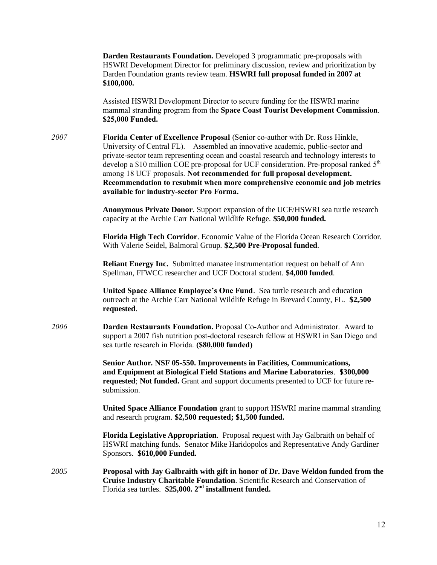**Darden Restaurants Foundation.** Developed 3 programmatic pre-proposals with HSWRI Development Director for preliminary discussion, review and prioritization by Darden Foundation grants review team. **HSWRI full proposal funded in 2007 at \$100,000.**

Assisted HSWRI Development Director to secure funding for the HSWRI marine mammal stranding program from the **Space Coast Tourist Development Commission**. **\$25,000 Funded.**

*2007* **Florida Center of Excellence Proposal** (Senior co-author with Dr. Ross Hinkle, University of Central FL). Assembled an innovative academic, public-sector and private-sector team representing ocean and coastal research and technology interests to develop a \$10 million COE pre-proposal for UCF consideration. Pre-proposal ranked 5<sup>th</sup> among 18 UCF proposals. **Not recommended for full proposal development. Recommendation to resubmit when more comprehensive economic and job metrics available for industry-sector Pro Forma.**

> **Anonymous Private Donor**. Support expansion of the UCF/HSWRI sea turtle research capacity at the Archie Carr National Wildlife Refuge. **\$50,000 funded.**

**Florida High Tech Corridor**. Economic Value of the Florida Ocean Research Corridor. With Valerie Seidel, Balmoral Group. **\$2,500 Pre-Proposal funded**.

**Reliant Energy Inc.** Submitted manatee instrumentation request on behalf of Ann Spellman, FFWCC researcher and UCF Doctoral student. **\$4,000 funded**.

**United Space Alliance Employee's One Fund**. Sea turtle research and education outreach at the Archie Carr National Wildlife Refuge in Brevard County, FL. **\$2,500 requested**.

*2006* **Darden Restaurants Foundation.** Proposal Co-Author and Administrator.Award to support a 2007 fish nutrition post-doctoral research fellow at HSWRI in San Diego and sea turtle research in Florida. **(\$80,000 funded)**

> **Senior Author***.* **NSF 05-550. Improvements in Facilities, Communications, and Equipment at Biological Field Stations and Marine Laboratories**. **\$300,000 requested**; **Not funded.** Grant and support documents presented to UCF for future resubmission.

**United Space Alliance Foundation** grant to support HSWRI marine mammal stranding and research program. **\$2,500 requested; \$1,500 funded.**

**Florida Legislative Appropriation***.* Proposal request with Jay Galbraith on behalf of HSWRI matching funds. Senator Mike Haridopolos and Representative Andy Gardiner Sponsors. **\$610,000 Funded.**

*2005* **Proposal with Jay Galbraith with gift in honor of Dr. Dave Weldon funded from the Cruise Industry Charitable Foundation**. Scientific Research and Conservation of Florida sea turtles. **\$25,000. 2nd installment funded.**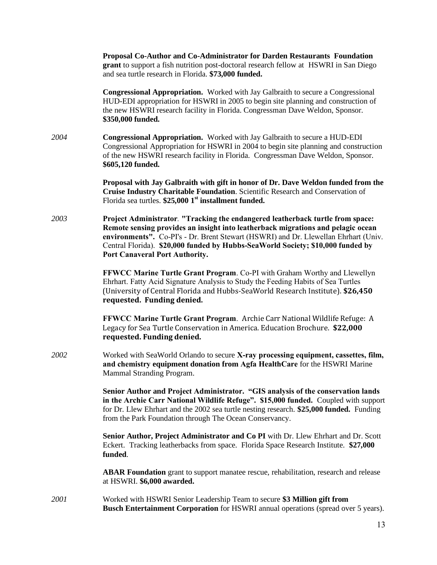**Proposal Co-Author and Co-Administrator for Darden Restaurants Foundation grant** to support a fish nutrition post-doctoral research fellow at HSWRI in San Diego and sea turtle research in Florida. **\$73,000 funded.**

**Congressional Appropriation.** Worked with Jay Galbraith to secure a Congressional HUD-EDI appropriation for HSWRI in 2005 to begin site planning and construction of the new HSWRI research facility in Florida. Congressman Dave Weldon, Sponsor. **\$350,000 funded.**

*2004* **Congressional Appropriation.** Worked with Jay Galbraith to secure a HUD-EDI Congressional Appropriation for HSWRI in 2004 to begin site planning and construction of the new HSWRI research facility in Florida. Congressman Dave Weldon, Sponsor. **\$605,120 funded.**

> **Proposal with Jay Galbraith with gift in honor of Dr. Dave Weldon funded from the Cruise Industry Charitable Foundation**. Scientific Research and Conservation of Florida sea turtles. **\$25,000 1st installment funded.**

*2003* **Project Administrator***.* **"Tracking the endangered leatherback turtle from space: Remote sensing provides an insight into leatherback migrations and pelagic ocean environments".** Co-PI's - Dr. Brent Stewart (HSWRI) and Dr. Llewellan Ehrhart (Univ. Central Florida). **\$20,000 funded by Hubbs-SeaWorld Society; \$10,000 funded by Port Canaveral Port Authority.**

> **FFWCC Marine Turtle Grant Program**. Co-PI with Graham Worthy and Llewellyn Ehrhart. Fatty Acid Signature Analysis to Study the Feeding Habits of Sea Turtles (University of Central Florida and Hubbs-SeaWorld Research Institute). **\$26,450 requested. Funding denied.**

> **FFWCC Marine Turtle Grant Program**. Archie Carr National Wildlife Refuge: A Legacy for Sea Turtle Conservation in America. Education Brochure. **\$22,000 requested. Funding denied.**

*2002* Worked with SeaWorld Orlando to secure **X-ray processing equipment, cassettes, film, and chemistry equipment donation from Agfa HealthCare** for the HSWRI Marine Mammal Stranding Program.

> **Senior Author and Project Administrator. "GIS analysis of the conservation lands in the Archie Carr National Wildlife Refuge". \$15,000 funded.** Coupled with support for Dr. Llew Ehrhart and the 2002 sea turtle nesting research. **\$25,000 funded.** Funding from the Park Foundation through The Ocean Conservancy.

**Senior Author, Project Administrator and Co PI** with Dr. Llew Ehrhart and Dr. Scott Eckert. Tracking leatherbacks from space. Florida Space Research Institute. **\$27,000 funded**.

**ABAR Foundation** grant to support manatee rescue, rehabilitation, research and release at HSWRI. **\$6,000 awarded.**

*2001* Worked with HSWRI Senior Leadership Team to secure **\$3 Million gift from Busch Entertainment Corporation** for HSWRI annual operations (spread over 5 years).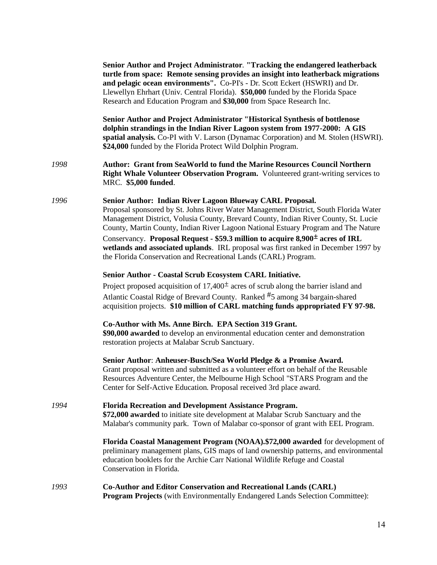|      | Senior Author and Project Administrator. "Tracking the endangered leatherback<br>turtle from space: Remote sensing provides an insight into leatherback migrations<br>and pelagic ocean environments". Co-PI's - Dr. Scott Eckert (HSWRI) and Dr.<br>Llewellyn Ehrhart (Univ. Central Florida). \$50,000 funded by the Florida Space<br>Research and Education Program and \$30,000 from Space Research Inc.                                                                                                                                                                         |
|------|--------------------------------------------------------------------------------------------------------------------------------------------------------------------------------------------------------------------------------------------------------------------------------------------------------------------------------------------------------------------------------------------------------------------------------------------------------------------------------------------------------------------------------------------------------------------------------------|
|      | Senior Author and Project Administrator "Historical Synthesis of bottlenose<br>dolphin strandings in the Indian River Lagoon system from 1977-2000: A GIS<br>spatial analysis. Co-PI with V. Larson (Dynamac Corporation) and M. Stolen (HSWRI).<br>\$24,000 funded by the Florida Protect Wild Dolphin Program.                                                                                                                                                                                                                                                                     |
| 1998 | Author: Grant from SeaWorld to fund the Marine Resources Council Northern<br>Right Whale Volunteer Observation Program. Volunteered grant-writing services to<br>MRC. \$5,000 funded.                                                                                                                                                                                                                                                                                                                                                                                                |
| 1996 | Senior Author: Indian River Lagoon Blueway CARL Proposal.<br>Proposal sponsored by St. Johns River Water Management District, South Florida Water<br>Management District, Volusia County, Brevard County, Indian River County, St. Lucie<br>County, Martin County, Indian River Lagoon National Estuary Program and The Nature<br>Conservancy. Proposal Request - \$59.3 million to acquire 8,900 <sup>±</sup> acres of IRL<br>wetlands and associated uplands. IRL proposal was first ranked in December 1997 by<br>the Florida Conservation and Recreational Lands (CARL) Program. |
|      | Senior Author - Coastal Scrub Ecosystem CARL Initiative.<br>Project proposed acquisition of $17,400^{\pm}$ acres of scrub along the barrier island and<br>Atlantic Coastal Ridge of Brevard County. Ranked #5 among 34 bargain-shared<br>acquisition projects. \$10 million of CARL matching funds appropriated FY 97-98.                                                                                                                                                                                                                                                            |
|      | Co-Author with Ms. Anne Birch. EPA Section 319 Grant.<br>\$90,000 awarded to develop an environmental education center and demonstration<br>restoration projects at Malabar Scrub Sanctuary.                                                                                                                                                                                                                                                                                                                                                                                         |
|      | Senior Author: Anheuser-Busch/Sea World Pledge & a Promise Award.<br>Grant proposal written and submitted as a volunteer effort on behalf of the Reusable<br>Resources Adventure Center, the Melbourne High School "STARS Program and the<br>Center for Self-Active Education. Proposal received 3rd place award.                                                                                                                                                                                                                                                                    |
| 1994 | Florida Recreation and Development Assistance Program.<br>\$72,000 awarded to initiate site development at Malabar Scrub Sanctuary and the<br>Malabar's community park. Town of Malabar co-sponsor of grant with EEL Program.                                                                                                                                                                                                                                                                                                                                                        |
|      | Florida Coastal Management Program (NOAA).\$72,000 awarded for development of<br>preliminary management plans, GIS maps of land ownership patterns, and environmental<br>education booklets for the Archie Carr National Wildlife Refuge and Coastal<br>Conservation in Florida.                                                                                                                                                                                                                                                                                                     |
| 1993 | <b>Co-Author and Editor Conservation and Recreational Lands (CARL)</b><br>Program Projects (with Environmentally Endangered Lands Selection Committee):                                                                                                                                                                                                                                                                                                                                                                                                                              |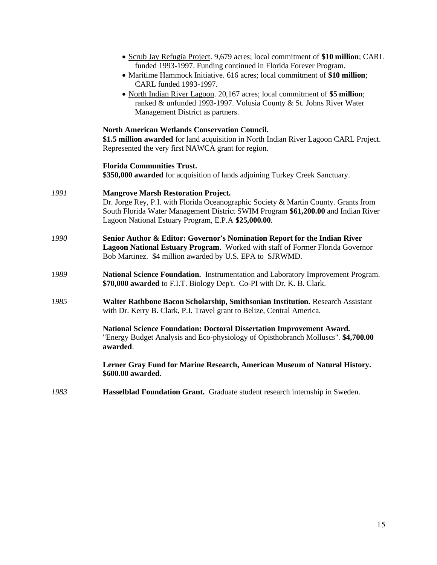|      | • Scrub Jay Refugia Project. 9,679 acres; local commitment of \$10 million; CARL<br>funded 1993-1997. Funding continued in Florida Forever Program.<br>• Maritime Hammock Initiative. 616 acres; local commitment of \$10 million;<br>CARL funded 1993-1997.                  |
|------|-------------------------------------------------------------------------------------------------------------------------------------------------------------------------------------------------------------------------------------------------------------------------------|
|      | • North Indian River Lagoon. 20,167 acres; local commitment of \$5 million;<br>ranked & unfunded 1993-1997. Volusia County & St. Johns River Water<br>Management District as partners.                                                                                        |
|      | <b>North American Wetlands Conservation Council.</b><br>\$1.5 million awarded for land acquisition in North Indian River Lagoon CARL Project.<br>Represented the very first NAWCA grant for region.                                                                           |
|      | <b>Florida Communities Trust.</b><br>\$350,000 awarded for acquisition of lands adjoining Turkey Creek Sanctuary.                                                                                                                                                             |
| 1991 | <b>Mangrove Marsh Restoration Project.</b><br>Dr. Jorge Rey, P.I. with Florida Oceanographic Society & Martin County. Grants from<br>South Florida Water Management District SWIM Program \$61,200.00 and Indian River<br>Lagoon National Estuary Program, E.P.A \$25,000.00. |
| 1990 | Senior Author & Editor: Governor's Nomination Report for the Indian River<br>Lagoon National Estuary Program. Worked with staff of Former Florida Governor<br>Bob Martinez. \$4 million awarded by U.S. EPA to SJRWMD.                                                        |
| 1989 | National Science Foundation. Instrumentation and Laboratory Improvement Program.<br>\$70,000 awarded to F.I.T. Biology Dep't. Co-PI with Dr. K. B. Clark.                                                                                                                     |
| 1985 | Walter Rathbone Bacon Scholarship, Smithsonian Institution. Research Assistant<br>with Dr. Kerry B. Clark, P.I. Travel grant to Belize, Central America.                                                                                                                      |
|      | <b>National Science Foundation: Doctoral Dissertation Improvement Award.</b><br>"Energy Budget Analysis and Eco-physiology of Opisthobranch Molluscs". \$4,700.00<br>awarded.                                                                                                 |
|      | Lerner Gray Fund for Marine Research, American Museum of Natural History.<br>\$600.00 awarded.                                                                                                                                                                                |
| 1983 | Hasselblad Foundation Grant. Graduate student research internship in Sweden.                                                                                                                                                                                                  |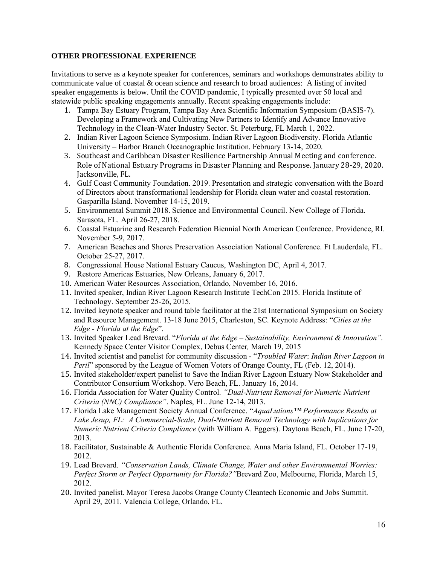### **OTHER PROFESSIONAL EXPERIENCE**

Invitations to serve as a keynote speaker for conferences, seminars and workshops demonstrates ability to communicate value of coastal  $\&$  ocean science and research to broad audiences: A listing of invited speaker engagements is below. Until the COVID pandemic, I typically presented over 50 local and statewide public speaking engagements annually. Recent speaking engagements include:

- 1. Tampa Bay Estuary Program, Tampa Bay Area Scientific Information Symposium (BASIS-7). Developing a Framework and Cultivating New Partners to Identify and Advance Innovative Technology in the Clean-Water Industry Sector. St. Peterburg, FL March 1, 2022.
- 2. Indian River Lagoon Science Symposium. Indian River Lagoon Biodiversity. Florida Atlantic University – Harbor Branch Oceanographic Institution. February 13-14, 2020.
- 3. Southeast and Caribbean Disaster Resilience Partnership Annual Meeting and conference. Role of National Estuary Programs in Disaster Planning and Response. January 28-29, 2020. Jacksonville, FL.
- 4. Gulf Coast Community Foundation. 2019. Presentation and strategic conversation with the Board of Directors about transformational leadership for Florida clean water and coastal restoration. Gasparilla Island. November 14-15, 2019.
- 5. Environmental Summit 2018. Science and Environmental Council. New College of Florida. Sarasota, FL. April 26-27, 2018.
- 6. Coastal Estuarine and Research Federation Biennial North American Conference. Providence, RI. November 5-9, 2017.
- 7. American Beaches and Shores Preservation Association National Conference. Ft Lauderdale, FL. October 25-27, 2017.
- 8. Congressional House National Estuary Caucus, Washington DC, April 4, 2017.
- 9. Restore Americas Estuaries, New Orleans, January 6, 2017.
- 10. American Water Resources Association, Orlando, November 16, 2016.
- 11. Invited speaker, Indian River Lagoon Research Institute TechCon 2015. Florida Institute of Technology. September 25-26, 2015.
- 12. Invited keynote speaker and round table facilitator at the 21st International Symposium on Society and Resource Management. 13-18 June 2015, Charleston, SC. Keynote Address: "*Cities at the Edge - Florida at the Edge*".
- 13. Invited Speaker Lead Brevard. "*Florida at the Edge – Sustainability, Environment & Innovation".*  Kennedy Space Center Visitor Complex, Debus Center*,* March 19, 2015
- 14. Invited scientist and panelist for community discussion "*Troubled Water*: *Indian River Lagoon in Peril*" sponsored by the League of Women Voters of Orange County, FL (Feb. 12, 2014).
- 15. Invited stakeholder/expert panelist to Save the Indian River Lagoon Estuary Now Stakeholder and Contributor Consortium Workshop. Vero Beach, FL. January 16, 2014.
- 16. Florida Association for Water Quality Control. *"Dual-Nutrient Removal for Numeric Nutrient Criteria (NNC) Compliance"*. Naples, FL. June 12-14, 2013.
- 17. Florida Lake Management Society Annual Conference. "*AquaLutions™ Performance Results at Lake Jesup, FL: A Commercial-Scale, Dual-Nutrient Removal Technology with Implications for Numeric Nutrient Criteria Compliance* (with William A. Eggers). Daytona Beach, FL. June 17-20, 2013.
- 18. Facilitator, Sustainable & Authentic Florida Conference. Anna Maria Island, FL. October 17-19, 2012.
- 19. Lead Brevard. *"Conservation Lands, Climate Change, Water and other Environmental Worries: Perfect Storm or Perfect Opportunity for Florida?"*Brevard Zoo, Melbourne, Florida, March 15, 2012.
- 20. Invited panelist. Mayor Teresa Jacobs Orange County Cleantech Economic and Jobs Summit. April 29, 2011. Valencia College, Orlando, FL.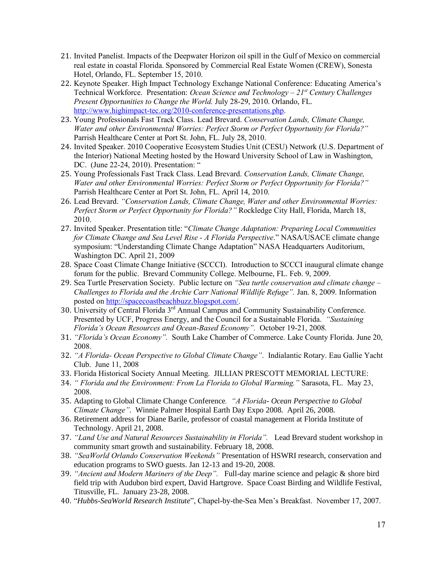- 21. Invited Panelist. Impacts of the Deepwater Horizon oil spill in the Gulf of Mexico on commercial real estate in coastal Florida. Sponsored by Commercial Real Estate Women (CREW), Sonesta Hotel, Orlando, FL. September 15, 2010.
- 22. Keynote Speaker. High Impact Technology Exchange National Conference: Educating America's Technical Workforce. Presentation: *Ocean Science and Technology – 21st Century Challenges Present Opportunities to Change the World.* July 28-29, 2010. Orlando, FL. [http://www.highimpact-tec.org/2010-conference-presentations.php.](http://www.highimpact-tec.org/2010-conference-presentations.php)
- 23. Young Professionals Fast Track Class. Lead Brevard. *Conservation Lands, Climate Change, Water and other Environmental Worries: Perfect Storm or Perfect Opportunity for Florida?"* Parrish Healthcare Center at Port St. John, FL. July 28, 2010.
- 24. Invited Speaker. 2010 Cooperative Ecosystem Studies Unit (CESU) Network (U.S. Department of the Interior) National Meeting hosted by the Howard University School of Law in Washington, DC. (June 22-24, 2010). Presentation: "
- 25. Young Professionals Fast Track Class. Lead Brevard. *Conservation Lands, Climate Change, Water and other Environmental Worries: Perfect Storm or Perfect Opportunity for Florida?"* Parrish Healthcare Center at Port St. John, FL. April 14, 2010.
- 26. Lead Brevard. *"Conservation Lands, Climate Change, Water and other Environmental Worries: Perfect Storm or Perfect Opportunity for Florida?"* Rockledge City Hall, Florida, March 18, 2010.
- 27. Invited Speaker. Presentation title: "*Climate Change Adaptation: Preparing Local Communities for Climate Change and Sea Level Rise - A Florida Perspective*." NASA/USACE climate change symposium: "Understanding Climate Change Adaptation" NASA Headquarters Auditorium, Washington DC. April 21, 2009
- 28. Space Coast Climate Change Initiative (SCCCI). Introduction to SCCCI inaugural climate change forum for the public. Brevard Community College. Melbourne, FL. Feb. 9, 2009.
- 29. Sea Turtle Preservation Society. Public lecture on *"Sea turtle conservation and climate change – Challenges to Florida and the Archie Carr National Wildlife Refuge".* Jan. 8, 2009. Information posted o[n http://spacecoastbeachbuzz.blogspot.com/.](http://spacecoastbeachbuzz.blogspot.com/)
- 30. University of Central Florida 3<sup>rd</sup> Annual Campus and Community Sustainability Conference. Presented by UCF, Progress Energy, and the Council for a Sustainable Florida. *"Sustaining Florida's Ocean Resources and Ocean-Based Economy".* October 19-21, 2008.
- 31. *"Florida's Ocean Economy".* South Lake Chamber of Commerce. Lake County Florida. June 20, 2008.
- 32. *"A Florida- Ocean Perspective to Global Climate Change"*. Indialantic Rotary. Eau Gallie Yacht Club. June 11, 2008
- 33. Florida Historical Society Annual Meeting. JILLIAN PRESCOTT MEMORIAL LECTURE:
- 34. *" Florida and the Environment: From La Florida to Global Warming."* Sarasota, FL. May 23, 2008.
- 35. Adapting to Global Climate Change Conference*. "A Florida- Ocean Perspective to Global Climate Change"*. Winnie Palmer Hospital Earth Day Expo 2008. April 26, 2008.
- 36. Retirement address for Diane Barile, professor of coastal management at Florida Institute of Technology. April 21, 2008.
- 37. *"Land Use and Natural Resources Sustainability in Florida".* Lead Brevard student workshop in community smart growth and sustainability. February 18, 2008.
- 38. *"SeaWorld Orlando Conservation Weekends"* Presentation of HSWRI research, conservation and education programs to SWO guests. Jan 12-13 and 19-20, 2008.
- 39. *"Ancient and Modern Mariners of the Deep".* Full-day marine science and pelagic & shore bird field trip with Audubon bird expert, David Hartgrove. Space Coast Birding and Wildlife Festival, Titusville, FL. January 23-28, 2008.
- 40. "*Hubbs-SeaWorld Research Institute*", Chapel-by-the-Sea Men's Breakfast. November 17, 2007.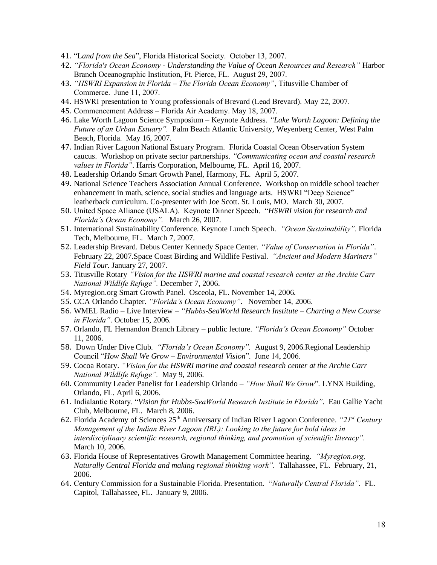- 41. "L*and from the Sea*", Florida Historical Society. October 13, 2007.
- 42. *"Florida's Ocean Economy - Understanding the Value of Ocean Resources and Research"* Harbor Branch Oceanographic Institution, Ft. Pierce, FL. August 29, 2007.
- 43. *"HSWRI Expansion in Florida – The Florida Ocean Economy"*, Titusville Chamber of Commerce. June 11, 2007.
- 44. HSWRI presentation to Young professionals of Brevard (Lead Brevard). May 22, 2007.
- 45. Commencement Address Florida Air Academy. May 18, 2007.
- 46. Lake Worth Lagoon Science Symposium Keynote Address. *"Lake Worth Lagoon: Defining the Future of an Urban Estuary".* Palm Beach Atlantic University, Weyenberg Center, West Palm Beach, Florida. May 16, 2007.
- 47. Indian River Lagoon National Estuary Program. Florida Coastal Ocean Observation System caucus. Workshop on private sector partnerships. *"Communicating ocean and coastal research values in Florida"*. Harris Corporation, Melbourne, FL. April 16, 2007.
- 48. Leadership Orlando Smart Growth Panel, Harmony, FL. April 5, 2007.
- 49. National Science Teachers Association Annual Conference. Workshop on middle school teacher enhancement in math, science, social studies and language arts. HSWRI "Deep Science" leatherback curriculum. Co-presenter with Joe Scott. St. Louis, MO. March 30, 2007.
- 50. United Space Alliance (USALA). Keynote Dinner Speech. "*HSWRI vision for research and Florida's Ocean Economy".* March 26, 2007.
- 51. International Sustainability Conference. Keynote Lunch Speech. *"Ocean Sustainability".* Florida Tech, Melbourne, FL. March 7, 2007.
- 52. Leadership Brevard. Debus Center Kennedy Space Center. *"Value of Conservation in Florida"*. February 22, 2007.Space Coast Birding and Wildlife Festival. *"Ancient and Modern Mariners" Field Tour.* January 27, 2007.
- 53. Titusville Rotary *"Vision for the HSWRI marine and coastal research center at the Archie Carr National Wildlife Refuge".* December 7, 2006.
- 54. Myregion.org Smart Growth Panel. Osceola, FL. November 14, 2006.
- 55. CCA Orlando Chapter. *"Florida's Ocean Economy"*. November 14, 2006.
- 56. WMEL Radio Live Interview *"Hubbs-SeaWorld Research Institute – Charting a New Course in Florida"*. October 15, 2006.
- 57. Orlando, FL Hernandon Branch Library public lecture. *"Florida's Ocean Economy"* October 11, 2006.
- 58. Down Under Dive Club. *"Florida's Ocean Economy".* August 9, 2006.Regional Leadership Council "*How Shall We Grow – Environmental Vision*". June 14, 2006.
- 59. Cocoa Rotary. *"Vision for the HSWRI marine and coastal research center at the Archie Carr National Wildlife Refuge".* May 9, 2006.
- 60. Community Leader Panelist for Leadership Orlando *"How Shall We Grow*". LYNX Building, Orlando, FL. April 6, 2006.
- 61. Indialantic Rotary. "*Vision for Hubbs-SeaWorld Research Institute in Florida"*. Eau Gallie Yacht Club, Melbourne, FL. March 8, 2006.
- 62. Florida Academy of Sciences 25th Anniversary of Indian River Lagoon Conference. *"21st Century Management of the Indian River Lagoon (IRL): Looking to the future for bold ideas in interdisciplinary scientific research, regional thinking, and promotion of scientific literacy".*  March 10, 2006.
- 63. Florida House of Representatives Growth Management Committee hearing. *"Myregion.org, Naturally Central Florida and making regional thinking work".* Tallahassee, FL. February, 21, 2006.
- 64. Century Commission for a Sustainable Florida. Presentation. "*Naturally Central Florida"*. FL. Capitol, Tallahassee, FL. January 9, 2006.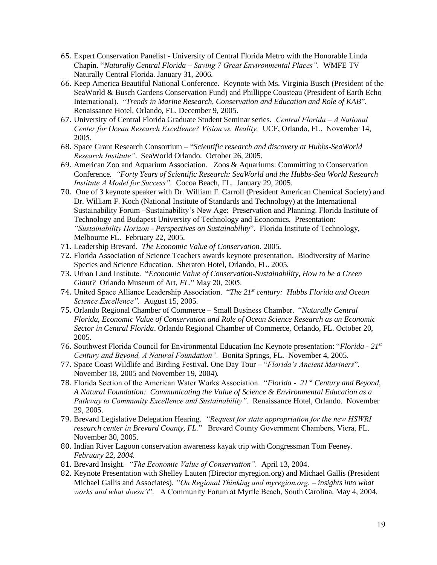- 65. Expert Conservation Panelist University of Central Florida Metro with the Honorable Linda Chapin. "*Naturally Central Florida – Saving 7 Great Environmental Places".* WMFE TV Naturally Central Florida. January 31, 2006.
- 66. Keep America Beautiful National Conference. Keynote with Ms. Virginia Busch (President of the SeaWorld & Busch Gardens Conservation Fund) and Phillippe Cousteau (President of Earth Echo International). "*Trends in Marine Research, Conservation and Education and Role of KAB*". Renaissance Hotel, Orlando, FL. December 9, 2005.
- 67. University of Central Florida Graduate Student Seminar series. *Central Florida – A National Center for Ocean Research Excellence? Vision vs. Reality.* UCF, Orlando, FL. November 14, 2005.
- 68. Space Grant Research Consortium "*Scientific research and discovery at Hubbs-SeaWorld Research Institute"*. SeaWorld Orlando. October 26, 2005.
- 69. American Zoo and Aquarium Association. Zoos & Aquariums: Committing to Conservation Conference*. "Forty Years of Scientific Research: SeaWorld and the Hubbs-Sea World Research Institute A Model for Success".* Cocoa Beach, FL.January 29, 2005.
- 70. One of 3 keynote speaker with Dr. William F. Carroll (President American Chemical Society) and Dr. William F. Koch (National Institute of Standards and Technology) at the International Sustainability Forum –Sustainability's New Age: Preservation and Planning. Florida Institute of Technology and Budapest University of Technology and Economics. Presentation: *"Sustainability Horizon - Perspectives on Sustainability*". Florida Institute of Technology, Melbourne FL. February 22, 2005.
- 71. Leadership Brevard. *The Economic Value of Conservation*. 2005.
- 72. Florida Association of Science Teachers awards keynote presentation. Biodiversity of Marine Species and Science Education. Sheraton Hotel, Orlando, FL. 2005.
- 73. Urban Land Institute. "*Economic Value of Conservation-Sustainability, How to be a Green Giant?* Orlando Museum of Art, *FL*." May 20, 2005.
- 74. United Space Alliance Leadership Association. "*The 21st century: Hubbs Florida and Ocean Science Excellence".* August 15, 2005.
- 75. Orlando Regional Chamber of Commerce Small Business Chamber. "*Naturally Central Florida, Economic Value of Conservation and Role of Ocean Science Research as an Economic Sector in Central Florida*. Orlando Regional Chamber of Commerce, Orlando, FL. October 20, 2005.
- 76. Southwest Florida Council for Environmental Education Inc Keynote presentation: "*Florida - 21st Century and Beyond, A Natural Foundation".* Bonita Springs, FL. November 4, 2005.
- 77. Space Coast Wildlife and Birding Festival. One Day Tour "*Florida's Ancient Mariners*". November 18, 2005 and November 19, 2004).
- 78. Florida Section of the American Water Works Association. "*Florida 21 st Century and Beyond, A Natural Foundation: Communicating the Value of Science & Environmental Education as a Pathway to Community Excellence and Sustainability".* Renaissance Hotel, Orlando. November 29, 2005.
- 79. Brevard Legislative Delegation Hearing. *"Request for state appropriation for the new HSWRI research center in Brevard County, FL.*" Brevard County Government Chambers, Viera, FL. November 30, 2005.
- 80. Indian River Lagoon conservation awareness kayak trip with Congressman Tom Feeney*. February 22, 2004.*
- 81. Brevard Insight. *"The Economic Value of Conservation".* April 13, 2004.
- 82. Keynote Presentation with Shelley Lauten (Director myregion.org) and Michael Gallis (President Michael Gallis and Associates). *"On Regional Thinking and myregion.org. – insights into what works and what doesn't*". A Community Forum at Myrtle Beach, South Carolina. May 4, 2004.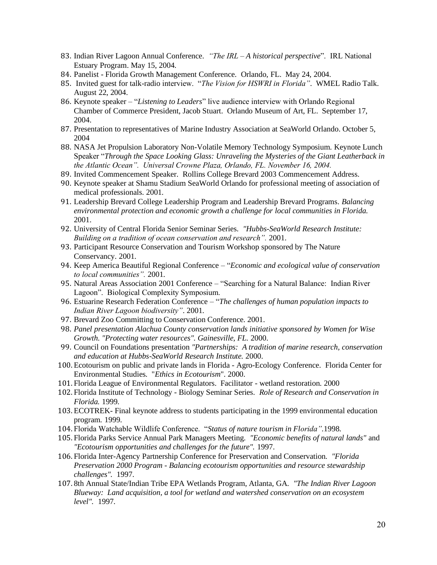- 83. Indian River Lagoon Annual Conference. *"The IRL – A historical perspective*". IRL National Estuary Program. May 15, 2004.
- 84. Panelist Florida Growth Management Conference. Orlando, FL. May 24, 2004.
- 85. Invited guest for talk-radio interview. "*The Vision for HSWRI in Florida"*. WMEL Radio Talk. August 22, 2004.
- 86. Keynote speaker "*Listening to Leaders*" live audience interview with Orlando Regional Chamber of Commerce President, Jacob Stuart. Orlando Museum of Art, FL. September 17, 2004.
- 87. Presentation to representatives of Marine Industry Association at SeaWorld Orlando. October 5, 2004
- 88. NASA Jet Propulsion Laboratory Non-Volatile Memory Technology Symposium. Keynote Lunch Speaker "*Through the Space Looking Glass: Unraveling the Mysteries of the Giant Leatherback in the Atlantic Ocean". Universal Crowne Plaza, Orlando, FL. November 16, 2004.*
- 89. Invited Commencement Speaker. Rollins College Brevard 2003 Commencement Address.
- 90. Keynote speaker at Shamu Stadium SeaWorld Orlando for professional meeting of association of medical professionals. 2001.
- 91. Leadership Brevard College Leadership Program and Leadership Brevard Programs*. Balancing environmental protection and economic growth a challenge for local communities in Florida.*  2001.
- 92. University of Central Florida Senior Seminar Series. *"Hubbs-SeaWorld Research Institute: Building on a tradition of ocean conservation and research".* 2001.
- 93. Participant Resource Conservation and Tourism Workshop sponsored by The Nature Conservancy. 2001.
- 94. Keep America Beautiful Regional Conference "*Economic and ecological value of conservation to local communities".* 2001.
- 95. Natural Areas Association 2001 Conference "Searching for a Natural Balance: Indian River Lagoon". Biological Complexity Symposium.
- 96. Estuarine Research Federation Conference "*The challenges of human population impacts to Indian River Lagoon biodiversity"*. 2001.
- 97. Brevard Zoo Committing to Conservation Conference. 2001.
- 98. *Panel presentation Alachua County conservation lands initiative sponsored by Women for Wise Growth. "Protecting water resources". Gainesville, FL.* 2000.
- 99. Council on Foundations presentation *"Partnerships: A tradition of marine research, conservation and education at Hubbs-SeaWorld Research Institute.* 2000.
- 100.Ecotourism on public and private lands in Florida Agro-Ecology Conference. Florida Center for Environmental Studies. "*Ethics in Ecotourism*". 2000.
- 101. Florida League of Environmental Regulators. Facilitator wetland restoration. 2000
- 102. Florida Institute of Technology *-* Biology Seminar Series. *Role of Research and Conservation in Florida.* 1999.
- 103.ECOTREK*-* Final keynote address to students participating in the 1999 environmental education program*.* 1999.
- 104. Florida Watchable Wildlife Conference. "*Status of nature tourism in Florida"*.1998.
- 105. Florida Parks Service Annual Park Managers Meeting. *"Economic benefits of natural lands"* and *"Ecotourism opportunities and challenges for the future".* 1997.
- 106. Florida Inter-Agency Partnership Conference for Preservation and Conservation. *"Florida Preservation 2000 Program - Balancing ecotourism opportunities and resource stewardship challenges".* 1997.
- 107. 8th Annual State/Indian Tribe EPA Wetlands Program, Atlanta, GA. *"The Indian River Lagoon Blueway: Land acquisition, a tool for wetland and watershed conservation on an ecosystem level".* 1997.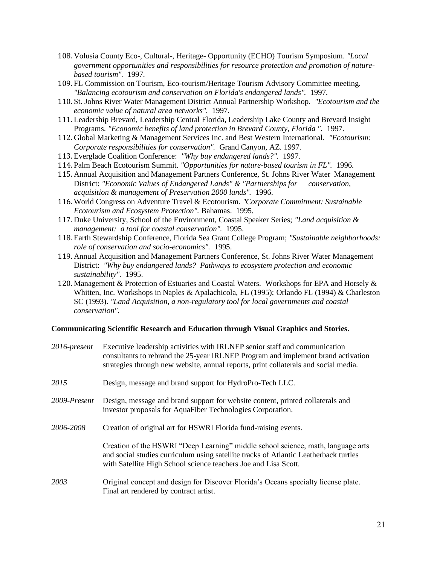- 108. Volusia County Eco-, Cultural-, Heritage- Opportunity (ECHO) Tourism Symposium. *"Local government opportunities and responsibilities for resource protection and promotion of naturebased tourism".* 1997.
- 109. FL Commission on Tourism, Eco-tourism/Heritage Tourism Advisory Committee meeting. *"Balancing ecotourism and conservation on Florida's endangered lands".* 1997.
- 110. St. Johns River Water Management District Annual Partnership Workshop. *"Ecotourism and the economic value of natural area networks".* 1997.
- 111.Leadership Brevard, Leadership Central Florida, Leadership Lake County and Brevard Insight Programs. *"Economic benefits of land protection in Brevard County, Florida ".* 1997.
- 112. Global Marketing & Management Services Inc. and Best Western International. *"Ecotourism: Corporate responsibilities for conservation".* Grand Canyon, AZ. 1997.
- 113.Everglade Coalition Conference: *"Why buy endangered lands?".* 1997.
- 114. Palm Beach Ecotourism Summit. *"Opportunities for nature-based tourism in FL".* 1996.
- 115. Annual Acquisition and Management Partners Conference, St. Johns River Water Management District: *"Economic Values of Endangered Lands" & "Partnerships for conservation, acquisition & management of Preservation 2000 lands".* 1996.
- 116.World Congress on Adventure Travel & Ecotourism. *"Corporate Commitment: Sustainable Ecotourism and Ecosystem Protection".* Bahamas.1995.
- 117. Duke University, School of the Environment, Coastal Speaker Series; *"Land acquisition & management: a tool for coastal conservation".* 1995.
- 118.Earth Stewardship Conference, Florida Sea Grant College Program; *"Sustainable neighborhoods: role of conservation and socio-economics".* 1995.
- 119. Annual Acquisition and Management Partners Conference, St. Johns River Water Management District: *"Why buy endangered lands? Pathways to ecosystem protection and economic sustainability".* 1995.
- 120. Management  $\&$  Protection of Estuaries and Coastal Waters. Workshops for EPA and Horsely  $\&$ Whitten, Inc. Workshops in Naples & Apalachicola, FL (1995); Orlando FL (1994) & Charleston SC (1993). *"Land Acquisition, a non-regulatory tool for local governments and coastal conservation".*

#### **Communicating Scientific Research and Education through Visual Graphics and Stories.**

| 2016-present | Executive leadership activities with IRLNEP senior staff and communication<br>consultants to rebrand the 25-year IRLNEP Program and implement brand activation<br>strategies through new website, annual reports, print collaterals and social media. |
|--------------|-------------------------------------------------------------------------------------------------------------------------------------------------------------------------------------------------------------------------------------------------------|
| 2015         | Design, message and brand support for HydroPro-Tech LLC.                                                                                                                                                                                              |
| 2009-Present | Design, message and brand support for website content, printed collaterals and<br>investor proposals for AquaFiber Technologies Corporation.                                                                                                          |
| 2006-2008    | Creation of original art for HSWRI Florida fund-raising events.                                                                                                                                                                                       |
|              | Creation of the HSWRI "Deep Learning" middle school science, math, language arts<br>and social studies curriculum using satellite tracks of Atlantic Leatherback turtles<br>with Satellite High School science teachers Joe and Lisa Scott.           |
| 2003         | Original concept and design for Discover Florida's Oceans specialty license plate.<br>Final art rendered by contract artist.                                                                                                                          |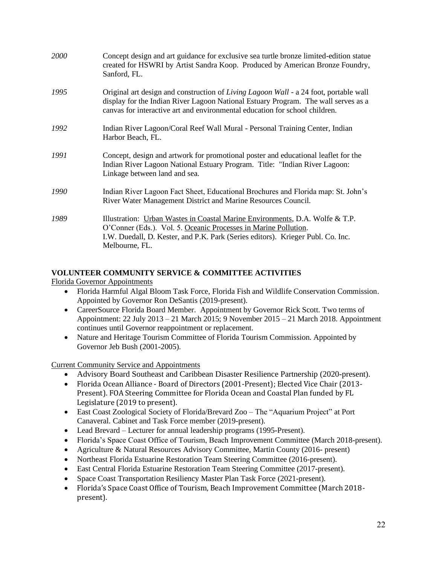| 2000 | Concept design and art guidance for exclusive sea turtle bronze limited-edition statue<br>created for HSWRI by Artist Sandra Koop. Produced by American Bronze Foundry,<br>Sanford, FL.                                                                    |
|------|------------------------------------------------------------------------------------------------------------------------------------------------------------------------------------------------------------------------------------------------------------|
| 1995 | Original art design and construction of Living Lagoon Wall - a 24 foot, portable wall<br>display for the Indian River Lagoon National Estuary Program. The wall serves as a<br>canvas for interactive art and environmental education for school children. |
| 1992 | Indian River Lagoon/Coral Reef Wall Mural - Personal Training Center, Indian<br>Harbor Beach, FL.                                                                                                                                                          |
| 1991 | Concept, design and artwork for promotional poster and educational leaflet for the<br>Indian River Lagoon National Estuary Program. Title: "Indian River Lagoon:<br>Linkage between land and sea.                                                          |
| 1990 | Indian River Lagoon Fact Sheet, Educational Brochures and Florida map: St. John's<br>River Water Management District and Marine Resources Council.                                                                                                         |
| 1989 | Illustration: Urban Wastes in Coastal Marine Environments, D.A. Wolfe & T.P.<br>O'Conner (Eds.). Vol. 5. Oceanic Processes in Marine Pollution.<br>I.W. Duedall, D. Kester, and P.K. Park (Series editors). Krieger Publ. Co. Inc.<br>Melbourne, FL.       |

# **VOLUNTEER COMMUNITY SERVICE & COMMITTEE ACTIVITIES**

Florida Governor Appointments

- Florida Harmful Algal Bloom Task Force, Florida Fish and Wildlife Conservation Commission. Appointed by Governor Ron DeSantis (2019-present).
- CareerSource Florida Board Member. Appointment by Governor Rick Scott. Two terms of Appointment: 22 July 2013 – 21 March 2015; 9 November 2015 – 21 March 2018. Appointment continues until Governor reappointment or replacement.
- Nature and Heritage Tourism Committee of Florida Tourism Commission. Appointed by Governor Jeb Bush (2001-2005).

Current Community Service and Appointments

- Advisory Board Southeast and Caribbean Disaster Resilience Partnership (2020-present).
- Florida Ocean Alliance Board of Directors (2001-Present); Elected Vice Chair (2013- Present). FOA Steering Committee for Florida Ocean and Coastal Plan funded by FL Legislature (2019 to present).
- East Coast Zoological Society of Florida/Brevard Zoo The "Aquarium Project" at Port Canaveral. Cabinet and Task Force member (2019-present).
- Lead Brevard Lecturer for annual leadership programs (1995-Present).
- Florida's Space Coast Office of Tourism, Beach Improvement Committee (March 2018-present).
- Agriculture & Natural Resources Advisory Committee, Martin County (2016- present)
- Northeast Florida Estuarine Restoration Team Steering Committee (2016-present).
- East Central Florida Estuarine Restoration Team Steering Committee (2017-present).
- Space Coast Transportation Resiliency Master Plan Task Force (2021-present).
- Florida's Space Coast Office of Tourism, Beach Improvement Committee (March 2018 present).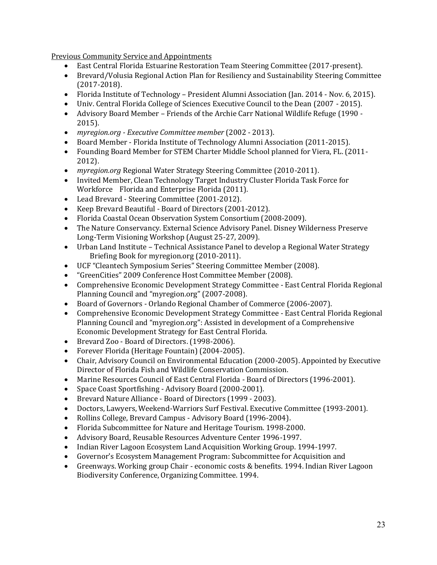Previous Community Service and Appointments

- East Central Florida Estuarine Restoration Team Steering Committee (2017-present).
- Brevard/Volusia Regional Action Plan for Resiliency and Sustainability Steering Committee (2017-2018).
- Florida Institute of Technology President Alumni Association (Jan. 2014 Nov. 6, 2015).
- Univ. Central Florida College of Sciences Executive Council to the Dean (2007 2015).
- Advisory Board Member Friends of the Archie Carr National Wildlife Refuge (1990 2015).
- *myregion.org - Executive Committee member* (2002 2013).
- Board Member Florida Institute of Technology Alumni Association (2011-2015).
- Founding Board Member for STEM Charter Middle School planned for Viera, FL. (2011- 2012).
- *myregion.org* Regional Water Strategy Steering Committee (2010-2011).
- Invited Member, Clean Technology Target Industry Cluster Florida Task Force for Workforce Florida and Enterprise Florida (2011).
- Lead Brevard Steering Committee (2001-2012).
- Keep Brevard Beautiful Board of Directors (2001-2012).
- Florida Coastal Ocean Observation System Consortium (2008-2009).
- The Nature Conservancy. External Science Advisory Panel. Disney Wilderness Preserve Long-Term Visioning Workshop (August 25-27, 2009).
- Urban Land Institute Technical Assistance Panel to develop a Regional Water Strategy Briefing Book for myregion.org (2010-2011).
- UCF "Cleantech Symposium Series" Steering Committee Member (2008).
- "GreenCities" 2009 Conference Host Committee Member (2008).
- Comprehensive Economic Development Strategy Committee East Central Florida Regional Planning Council and "myregion.org" (2007-2008).
- Board of Governors Orlando Regional Chamber of Commerce (2006-2007).
- Comprehensive Economic Development Strategy Committee East Central Florida Regional Planning Council and "myregion.org": Assisted in development of a Comprehensive Economic Development Strategy for East Central Florida.
- Brevard Zoo Board of Directors. (1998-2006).
- Forever Florida (Heritage Fountain) (2004-2005).
- Chair, Advisory Council on Environmental Education (2000-2005). Appointed by Executive Director of Florida Fish and Wildlife Conservation Commission.
- Marine Resources Council of East Central Florida Board of Directors (1996-2001).
- Space Coast Sportfishing Advisory Board (2000-2001).
- Brevard Nature Alliance Board of Directors (1999 2003).
- Doctors, Lawyers, Weekend-Warriors Surf Festival. Executive Committee (1993-2001).
- Rollins College, Brevard Campus Advisory Board (1996-2004).
- Florida Subcommittee for Nature and Heritage Tourism. 1998-2000.
- Advisory Board, Reusable Resources Adventure Center 1996-1997.
- Indian River Lagoon Ecosystem Land Acquisition Working Group. 1994-1997.
- Governor's Ecosystem Management Program: Subcommittee for Acquisition and
- Greenways. Working group Chair economic costs & benefits. 1994. Indian River Lagoon Biodiversity Conference, Organizing Committee. 1994.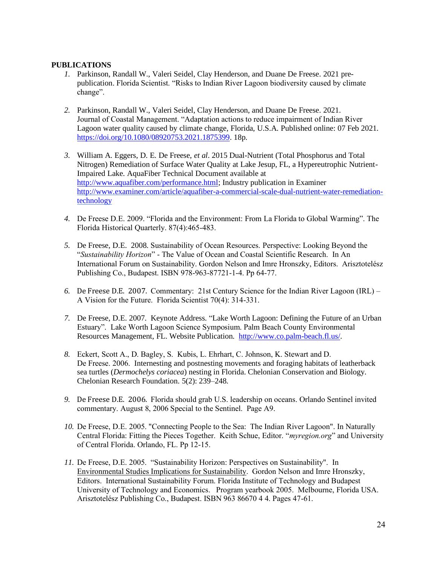# **PUBLICATIONS**

- *1.* Parkinson, Randall W., Valeri Seidel, Clay Henderson, and Duane De Freese. 2021 prepublication. Florida Scientist. "Risks to Indian River Lagoon biodiversity caused by climate change".
- *2.* Parkinson, Randall W., Valeri Seidel, Clay Henderson, and Duane De Freese. 2021. Journal of Coastal Management. "Adaptation actions to reduce impairment of Indian River Lagoon water quality caused by climate change, Florida, U.S.A. Published online: 07 Feb 2021. [https://doi.org/10.1080/08920753.2021.1875399.](https://doi.org/10.1080/08920753.2021.1875399) 18p.
- *3.* William A. Eggers, D. E. De Freese, *et al*. 2015 Dual-Nutrient (Total Phosphorus and Total Nitrogen) Remediation of Surface Water Quality at Lake Jesup, FL, a Hypereutrophic Nutrient-Impaired Lake. AquaFiber Technical Document available at [http://www.aquafiber.com/performance.html;](http://www.aquafiber.com/performance.html) Industry publication in Examiner [http://www.examiner.com/article/aquafiber-a-commercial-scale-dual-nutrient-water-remediation](http://www.examiner.com/article/aquafiber-a-commercial-scale-dual-nutrient-water-remediation-technology)[technology](http://www.examiner.com/article/aquafiber-a-commercial-scale-dual-nutrient-water-remediation-technology)
- *4.* De Freese D.E. 2009. "Florida and the Environment: From La Florida to Global Warming". The Florida Historical Quarterly. 87(4):465-483.
- *5.* De Freese, D.E. 2008. Sustainability of Ocean Resources. Perspective: Looking Beyond the "*Sustainability Horizon*" - The Value of Ocean and Coastal Scientific Research. In An International Forum on Sustainability. Gordon Nelson and Imre Hronszky, Editors. Arisztotelész Publishing Co., Budapest. ISBN 978-963-87721-1-4. Pp 64-77.
- *6.* De Freese D.E. 2007. Commentary: 21st Century Science for the Indian River Lagoon (IRL) A Vision for the Future. Florida Scientist 70(4): 314-331.
- *7.* De Freese, D.E. 2007. Keynote Address. "Lake Worth Lagoon: Defining the Future of an Urban Estuary". Lake Worth Lagoon Science Symposium. Palm Beach County Environmental Resources Management, FL. Website Publication. [http://www.co.palm-beach.fl.us/.](http://www.co.palm-beach.fl.us/)
- *8.* Eckert, Scott A., D. Bagley, S. Kubis, L. Ehrhart, C. Johnson, K. Stewart and D. De Freese. 2006. Internesting and postnesting movements and foraging habitats of leatherback sea turtles (*Dermochelys coriacea*) nesting in Florida. Chelonian Conservation and Biology. Chelonian Research Foundation. 5(2): 239–248.
- *9.* De Freese D.E. 2006. Florida should grab U.S. leadership on oceans. Orlando Sentinel invited commentary. August 8, 2006 Special to the Sentinel. Page A9.
- *10.* De Freese, D.E. 2005. "Connecting People to the Sea: The Indian River Lagoon". In Naturally Central Florida: Fitting the Pieces Together. Keith Schue, Editor. "*myregion.org*" and University of Central Florida. Orlando, FL. Pp 12-15.
- *11.* De Freese, D.E. 2005. "Sustainability Horizon: Perspectives on Sustainability". In Environmental Studies Implications for Sustainability. Gordon Nelson and Imre Hronszky, Editors. International Sustainability Forum. Florida Institute of Technology and Budapest University of Technology and Economics. Program yearbook 2005. Melbourne, Florida USA. Arisztotelész Publishing Co., Budapest. ISBN 963 86670 4 4. Pages 47-61.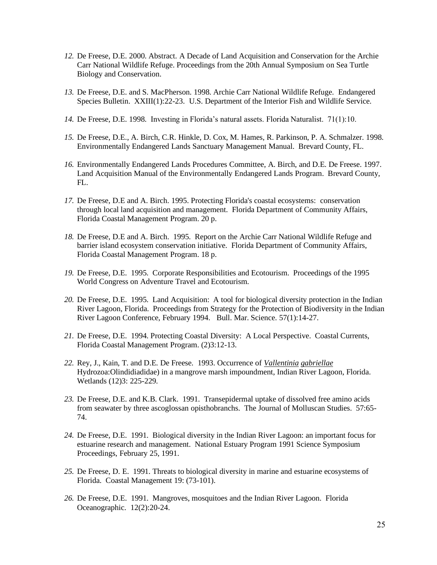- *12.* De Freese, D.E. 2000. Abstract. A Decade of Land Acquisition and Conservation for the Archie Carr National Wildlife Refuge. Proceedings from the 20th Annual Symposium on Sea Turtle Biology and Conservation.
- *13.* De Freese, D.E. and S. MacPherson. 1998. Archie Carr National Wildlife Refuge. Endangered Species Bulletin. XXIII(1):22-23. U.S. Department of the Interior Fish and Wildlife Service.
- *14.* De Freese, D.E. 1998. Investing in Florida's natural assets. Florida Naturalist. 71(1):10.
- *15.* De Freese, D.E., A. Birch, C.R. Hinkle, D. Cox, M. Hames, R. Parkinson, P. A. Schmalzer. 1998. Environmentally Endangered Lands Sanctuary Management Manual. Brevard County, FL.
- *16.* Environmentally Endangered Lands Procedures Committee, A. Birch, and D.E. De Freese. 1997. Land Acquisition Manual of the Environmentally Endangered Lands Program. Brevard County, FL.
- *17.* De Freese, D.E and A. Birch. 1995. Protecting Florida's coastal ecosystems: conservation through local land acquisition and management. Florida Department of Community Affairs, Florida Coastal Management Program. 20 p.
- *18.* De Freese, D.E and A. Birch. 1995. Report on the Archie Carr National Wildlife Refuge and barrier island ecosystem conservation initiative. Florida Department of Community Affairs, Florida Coastal Management Program. 18 p.
- *19.* De Freese, D.E. 1995. Corporate Responsibilities and Ecotourism. Proceedings of the 1995 World Congress on Adventure Travel and Ecotourism.
- *20.* De Freese, D.E. 1995. Land Acquisition: A tool for biological diversity protection in the Indian River Lagoon, Florida. Proceedings from Strategy for the Protection of Biodiversity in the Indian River Lagoon Conference, February 1994. Bull. Mar. Science. 57(1):14-27.
- *21.* De Freese, D.E. 1994. Protecting Coastal Diversity: A Local Perspective. Coastal Currents, Florida Coastal Management Program. (2)3:12-13.
- *22.* Rey, J., Kain, T. and D.E. De Freese. 1993. Occurrence of *Vallentinia gabriellae* Hydrozoa:Olindidiadidae) in a mangrove marsh impoundment, Indian River Lagoon, Florida. Wetlands (12)3: 225-229.
- *23.* De Freese, D.E. and K.B. Clark. 1991. Transepidermal uptake of dissolved free amino acids from seawater by three ascoglossan opisthobranchs. The Journal of Molluscan Studies. 57:65- 74.
- *24.* De Freese, D.E. 1991. Biological diversity in the Indian River Lagoon: an important focus for estuarine research and management. National Estuary Program 1991 Science Symposium Proceedings, February 25, 1991.
- *25.* De Freese, D. E. 1991. Threats to biological diversity in marine and estuarine ecosystems of Florida. Coastal Management 19: (73-101).
- *26.* De Freese, D.E. 1991. Mangroves, mosquitoes and the Indian River Lagoon. Florida Oceanographic. 12(2):20-24.